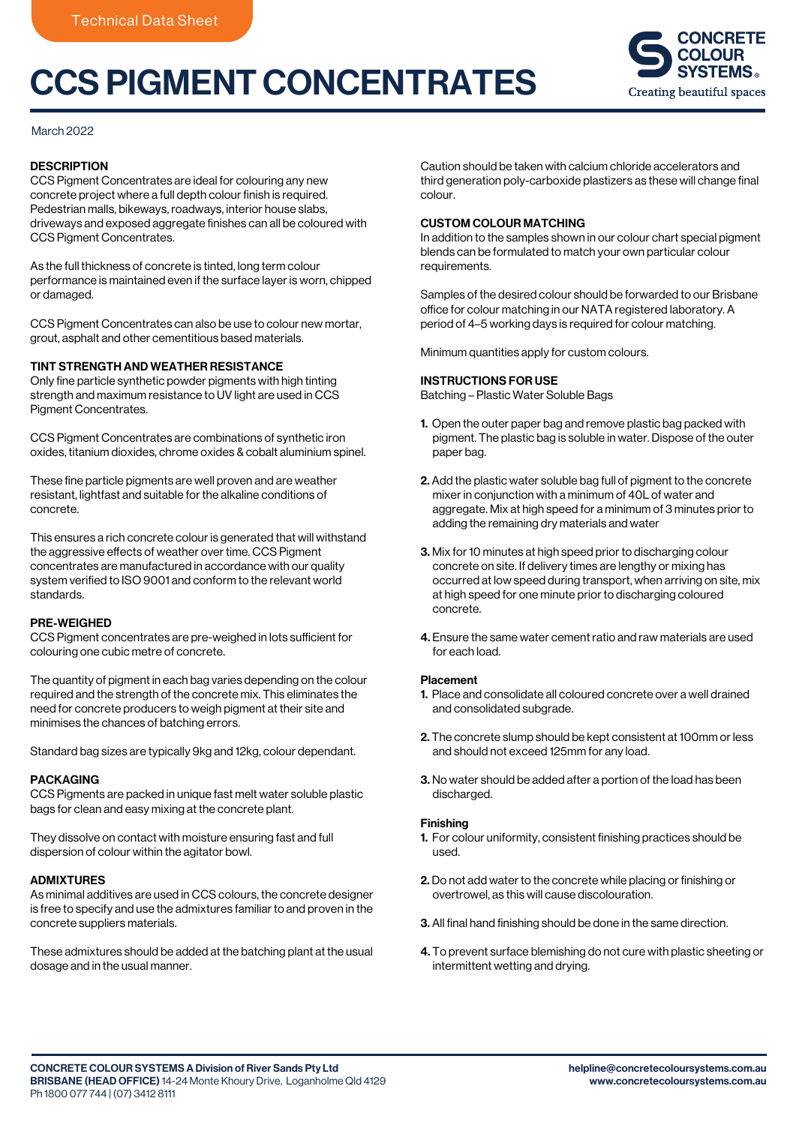# CCS PIGMENT CONCENTRATES



# March 2022

# **DESCRIPTION**

CCS Pigment Concentrates are ideal for colouring any new concrete project where a full depth colour finish is required. Pedestrian malls, bikeways, roadways, interior house slabs, driveways and exposed aggregate finishes can all be coloured with CCS Pigment Concentrates.

As the full thickness of concrete is tinted, long term colour performance is maintained even if the surface layer is worn, chipped or damaged.

CCS Pigment Concentrates can also be use to colour new mortar, grout, asphalt and other cementitious based materials.

## TINT STRENGTH AND WEATHER RESISTANCE

Only fine particle synthetic powder pigments with high tinting strength and maximum resistance to UV light are used in CCS Pigment Concentrates.

CCS Pigment Concentrates are combinations of synthetic iron oxides, titanium dioxides, chrome oxides & cobalt aluminium spinel.

These fine particle pigments are well proven and are weather resistant, lightfast and suitable for the alkaline conditions of concrete.

This ensures a rich concrete colour is generated that will withstand the aggressive effects of weather over time. CCS Pigment concentrates are manufactured in accordance with our quality system verified to ISO 9001 and conform to the relevant world standards.

## PRE-WEIGHED

CCS Pigment concentrates are pre-weighed in lots sufficient for colouring one cubic metre of concrete.

The quantity of pigment in each bag varies depending on the colour required and the strength of the concrete mix. This eliminates the need for concrete producers to weigh pigment at their site and minimises the chances of batching errors.

Standard bag sizes are typically 9kg and 12kg, colour dependant.

## PACKAGING

CCS Pigments are packed in unique fast melt water soluble plastic bags for clean and easy mixing at the concrete plant.

They dissolve on contact with moisture ensuring fast and full dispersion of colour within the agitator bowl.

## ADMIXTURES

As minimal additives are used in CCS colours, the concrete designer is free to specify and use the admixtures familiar to and proven in the concrete suppliers materials.

These admixtures should be added at the batching plant at the usual dosage and in the usual manner.

Caution should be taken with calcium chloride accelerators and third generation poly-carboxide plastizers as these will change final colour.

# CUSTOM COLOUR MATCHING

In addition to the samples shown in our colour chart special pigment blends can be formulated to match your own particular colour requirements.

Samples of the desired colour should be forwarded to our Brisbane office for colour matching in our NATA registered laboratory. A period of 4–5 working days is required for colour matching.

Minimum quantities apply for custom colours.

#### INSTRUCTIONS FOR USE

Batching – Plastic Water Soluble Bags

- 1. Open the outer paper bag and remove plastic bag packed with pigment. The plastic bag is soluble in water. Dispose of the outer paper bag.
- 2. Add the plastic water soluble bag full of pigment to the concrete mixer in conjunction with a minimum of 40L of water and aggregate. Mix at high speed for a minimum of 3 minutes prior to adding the remaining dry materials and water
- 3. Mix for 10 minutes at high speed prior to discharging colour concrete on site. If delivery times are lengthy or mixing has occurred at low speed during transport, when arriving on site, mix at high speed for one minute prior to discharging coloured concrete.
- 4. Ensure the same water cement ratio and raw materials are used for each load.

## Placement

- 1. Place and consolidate all coloured concrete over a well drained and consolidated subgrade.
- 2. The concrete slump should be kept consistent at 100mm or less and should not exceed 125mm for any load.
- 3. No water should be added after a portion of the load has been discharged.

#### Finishing

- 1. For colour uniformity, consistent finishing practices should be used.
- 2. Do not add water to the concrete while placing or finishing or overtrowel, as this will cause discolouration.
- 3. All final hand finishing should be done in the same direction.
- 4. To prevent surface blemishing do not cure with plastic sheeting or intermittent wetting and drying.